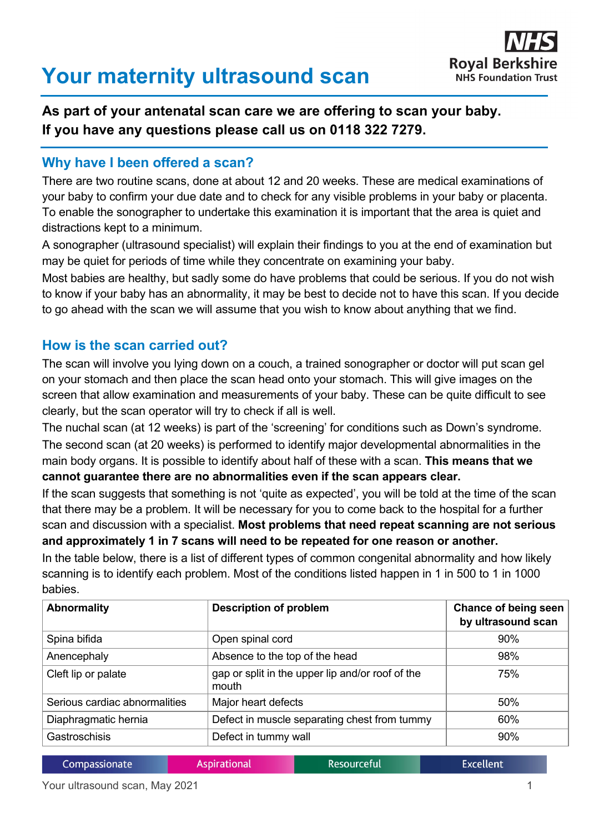# **Your maternity ultrasound scan**



## **As part of your antenatal scan care we are offering to scan your baby. If you have any questions please call us on 0118 322 7279.**

#### **Why have I been offered a scan?**

There are two routine scans, done at about 12 and 20 weeks. These are medical examinations of your baby to confirm your due date and to check for any visible problems in your baby or placenta. To enable the sonographer to undertake this examination it is important that the area is quiet and distractions kept to a minimum.

A sonographer (ultrasound specialist) will explain their findings to you at the end of examination but may be quiet for periods of time while they concentrate on examining your baby.

Most babies are healthy, but sadly some do have problems that could be serious. If you do not wish to know if your baby has an abnormality, it may be best to decide not to have this scan. If you decide to go ahead with the scan we will assume that you wish to know about anything that we find.

### **How is the scan carried out?**

The scan will involve you lying down on a couch, a trained sonographer or doctor will put scan gel on your stomach and then place the scan head onto your stomach. This will give images on the screen that allow examination and measurements of your baby. These can be quite difficult to see clearly, but the scan operator will try to check if all is well.

The nuchal scan (at 12 weeks) is part of the 'screening' for conditions such as Down's syndrome. The second scan (at 20 weeks) is performed to identify major developmental abnormalities in the main body organs. It is possible to identify about half of these with a scan. **This means that we cannot guarantee there are no abnormalities even if the scan appears clear.**

If the scan suggests that something is not 'quite as expected', you will be told at the time of the scan that there may be a problem. It will be necessary for you to come back to the hospital for a further scan and discussion with a specialist. **Most problems that need repeat scanning are not serious and approximately 1 in 7 scans will need to be repeated for one reason or another.**

In the table below, there is a list of different types of common congenital abnormality and how likely scanning is to identify each problem. Most of the conditions listed happen in 1 in 500 to 1 in 1000 babies.

| <b>Abnormality</b>            | <b>Description of problem</b>                             | Chance of being seen<br>by ultrasound scan |
|-------------------------------|-----------------------------------------------------------|--------------------------------------------|
| Spina bifida                  | Open spinal cord                                          | 90%                                        |
| Anencephaly                   | Absence to the top of the head                            | 98%                                        |
| Cleft lip or palate           | gap or split in the upper lip and/or roof of the<br>mouth | 75%                                        |
| Serious cardiac abnormalities | Major heart defects                                       | 50%                                        |
| Diaphragmatic hernia          | Defect in muscle separating chest from tummy              | 60%                                        |
| Gastroschisis                 | Defect in tummy wall                                      | 90%                                        |

|  | Compassionate | <b>Aspirational</b> | Resourceful | <b>Excellent</b> |
|--|---------------|---------------------|-------------|------------------|
|--|---------------|---------------------|-------------|------------------|